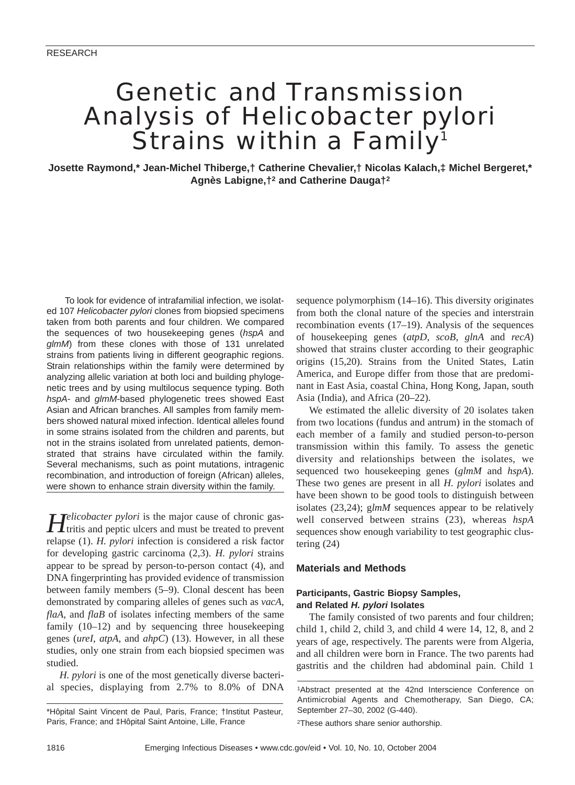# Genetic and Transmission Analysis of *Helicobacter pylori* Strains within a Family<sup>1</sup>

**Josette Raymond,\* Jean-Michel Thiberge,† Catherine Chevalier,† Nicolas Kalach,‡ Michel Bergeret,\* Agnès Labigne,†2 and Catherine Dauga†2**

To look for evidence of intrafamilial infection, we isolated 107 *Helicobacter pylori* clones from biopsied specimens taken from both parents and four children. We compared the sequences of two housekeeping genes (*hspA* and *glmM*) from these clones with those of 131 unrelated strains from patients living in different geographic regions. Strain relationships within the family were determined by analyzing allelic variation at both loci and building phylogenetic trees and by using multilocus sequence typing. Both *hspA*- and *glmM*-based phylogenetic trees showed East Asian and African branches. All samples from family members showed natural mixed infection. Identical alleles found in some strains isolated from the children and parents, but not in the strains isolated from unrelated patients, demonstrated that strains have circulated within the family. Several mechanisms, such as point mutations, intragenic recombination, and introduction of foreign (African) alleles, were shown to enhance strain diversity within the family.

Helicobacter pylori is the major cause of chronic gas-<br>tritis and peptic ulcers and must be treated to prevent relapse (1). *H. pylori* infection is considered a risk factor for developing gastric carcinoma (2,3). *H. pylori* strains appear to be spread by person-to-person contact (4), and DNA fingerprinting has provided evidence of transmission between family members (5–9). Clonal descent has been demonstrated by comparing alleles of genes such as *vacA*, *flaA*, and *flaB* of isolates infecting members of the same family (10–12) and by sequencing three housekeeping genes (*ureI*, *atpA*, and *ahpC*) (13). However, in all these studies, only one strain from each biopsied specimen was studied.

*H. pylori* is one of the most genetically diverse bacterial species, displaying from 2.7% to 8.0% of DNA

sequence polymorphism (14–16). This diversity originates from both the clonal nature of the species and interstrain recombination events (17–19). Analysis of the sequences of housekeeping genes (*atpD*, *scoB*, *glnA* and *recA*) showed that strains cluster according to their geographic origins (15,20). Strains from the United States, Latin America, and Europe differ from those that are predominant in East Asia, coastal China, Hong Kong, Japan, south Asia (India), and Africa (20–22).

We estimated the allelic diversity of 20 isolates taken from two locations (fundus and antrum) in the stomach of each member of a family and studied person-to-person transmission within this family. To assess the genetic diversity and relationships between the isolates, we sequenced two housekeeping genes (*glmM* and *hspA*). These two genes are present in all *H. pylori* isolates and have been shown to be good tools to distinguish between isolates (23,24); g*lmM* sequences appear to be relatively well conserved between strains (23), whereas *hspA* sequences show enough variability to test geographic clustering (24)

# **Materials and Methods**

# **Participants, Gastric Biopsy Samples, and Related** *H. pylori* **Isolates**

The family consisted of two parents and four children; child 1, child 2, child 3, and child 4 were 14, 12, 8, and 2 years of age, respectively. The parents were from Algeria, and all children were born in France. The two parents had gastritis and the children had abdominal pain. Child 1

2These authors share senior authorship.

<sup>\*</sup>Hôpital Saint Vincent de Paul, Paris, France; †Institut Pasteur, Paris, France; and ‡Hôpital Saint Antoine, Lille, France

<sup>1</sup>Abstract presented at the 42nd Interscience Conference on Antimicrobial Agents and Chemotherapy, San Diego, CA; September 27–30, 2002 (G-440).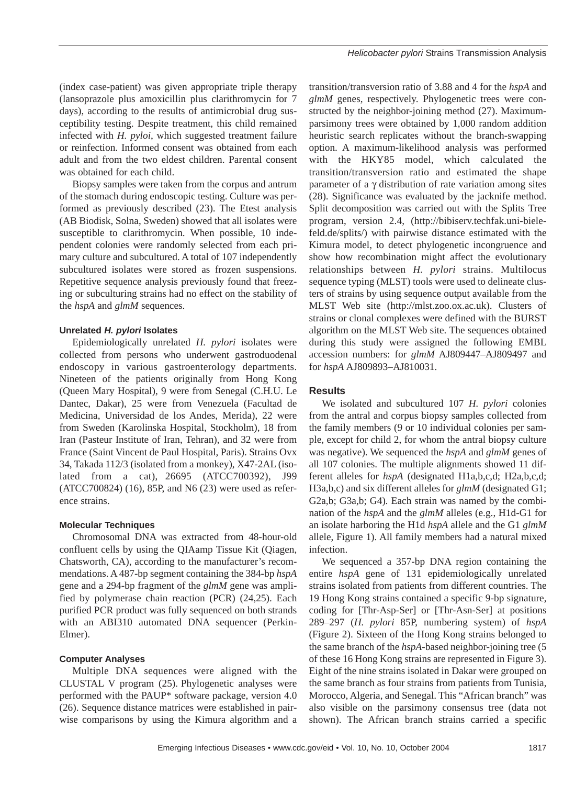(index case-patient) was given appropriate triple therapy (lansoprazole plus amoxicillin plus clarithromycin for 7 days), according to the results of antimicrobial drug susceptibility testing. Despite treatment, this child remained infected with *H. pyloi*, which suggested treatment failure or reinfection. Informed consent was obtained from each adult and from the two eldest children. Parental consent was obtained for each child.

Biopsy samples were taken from the corpus and antrum of the stomach during endoscopic testing. Culture was performed as previously described (23). The Etest analysis (AB Biodisk, Solna, Sweden) showed that all isolates were susceptible to clarithromycin. When possible, 10 independent colonies were randomly selected from each primary culture and subcultured. A total of 107 independently subcultured isolates were stored as frozen suspensions. Repetitive sequence analysis previously found that freezing or subculturing strains had no effect on the stability of the *hspA* and *glmM* sequences.

# **Unrelated** *H. pylori* **Isolates**

Epidemiologically unrelated *H. pylori* isolates were collected from persons who underwent gastroduodenal endoscopy in various gastroenterology departments. Nineteen of the patients originally from Hong Kong (Queen Mary Hospital), 9 were from Senegal (C.H.U. Le Dantec, Dakar), 25 were from Venezuela (Facultad de Medicina, Universidad de los Andes, Merida), 22 were from Sweden (Karolinska Hospital, Stockholm), 18 from Iran (Pasteur Institute of Iran, Tehran), and 32 were from France (Saint Vincent de Paul Hospital, Paris). Strains Ovx 34, Takada 112/3 (isolated from a monkey), X47-2AL (isolated from a cat), 26695 (ATCC700392), J99 (ATCC700824) (16), 85P, and N6 (23) were used as reference strains.

## **Molecular Techniques**

Chromosomal DNA was extracted from 48-hour-old confluent cells by using the QIAamp Tissue Kit (Qiagen, Chatsworth, CA), according to the manufacturer's recommendations. A 487-bp segment containing the 384-bp *hspA* gene and a 294-bp fragment of the *glmM* gene was amplified by polymerase chain reaction (PCR) (24,25). Each purified PCR product was fully sequenced on both strands with an ABI310 automated DNA sequencer (Perkin-Elmer).

## **Computer Analyses**

Multiple DNA sequences were aligned with the CLUSTAL V program (25). Phylogenetic analyses were performed with the PAUP\* software package, version 4.0 (26). Sequence distance matrices were established in pairwise comparisons by using the Kimura algorithm and a transition/transversion ratio of 3.88 and 4 for the *hspA* and *glmM* genes, respectively. Phylogenetic trees were constructed by the neighbor-joining method (27). Maximumparsimony trees were obtained by 1,000 random addition heuristic search replicates without the branch-swapping option. A maximum-likelihood analysis was performed with the HKY85 model, which calculated the transition/transversion ratio and estimated the shape parameter of a γ distribution of rate variation among sites (28). Significance was evaluated by the jacknife method. Split decomposition was carried out with the Splits Tree program, version 2.4, (http://bibiserv.techfak.uni-bielefeld.de/splits/) with pairwise distance estimated with the Kimura model, to detect phylogenetic incongruence and show how recombination might affect the evolutionary relationships between *H. pylori* strains. Multilocus sequence typing (MLST) tools were used to delineate clusters of strains by using sequence output available from the MLST Web site (http://mlst.zoo.ox.ac.uk). Clusters of strains or clonal complexes were defined with the BURST algorithm on the MLST Web site. The sequences obtained during this study were assigned the following EMBL accession numbers: for *glmM* AJ809447–AJ809497 and for *hspA* AJ809893–AJ810031.

# **Results**

We isolated and subcultured 107 *H. pylori* colonies from the antral and corpus biopsy samples collected from the family members (9 or 10 individual colonies per sample, except for child 2, for whom the antral biopsy culture was negative). We sequenced the *hspA* and *glmM* genes of all 107 colonies. The multiple alignments showed 11 different alleles for *hspA* (designated H1a,b,c,d; H2a,b,c,d; H3a,b,c) and six different alleles for *glmM* (designated G1; G2a,b; G3a,b; G4)*.* Each strain was named by the combination of the *hspA* and the *glmM* alleles (e.g., H1d-G1 for an isolate harboring the H1d *hspA* allele and the G1 *glmM* allele, Figure 1). All family members had a natural mixed infection.

We sequenced a 357-bp DNA region containing the entire *hspA* gene of 131 epidemiologically unrelated strains isolated from patients from different countries. The 19 Hong Kong strains contained a specific 9-bp signature, coding for [Thr-Asp-Ser] or [Thr-Asn-Ser] at positions 289–297 (*H. pylori* 85P, numbering system) of *hspA* (Figure 2). Sixteen of the Hong Kong strains belonged to the same branch of the *hspA-*based neighbor-joining tree (5 of these 16 Hong Kong strains are represented in Figure 3). Eight of the nine strains isolated in Dakar were grouped on the same branch as four strains from patients from Tunisia, Morocco, Algeria, and Senegal. This "African branch" was also visible on the parsimony consensus tree (data not shown). The African branch strains carried a specific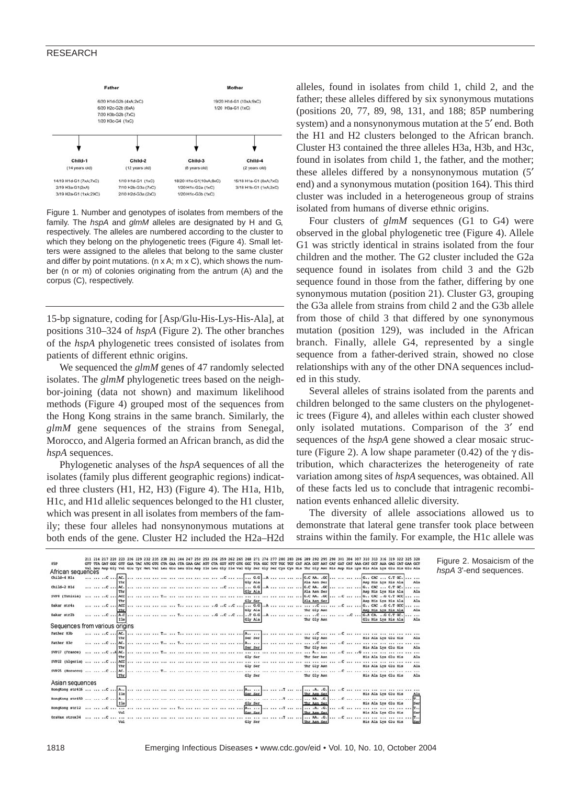### RESEARCH



Figure 1. Number and genotypes of isolates from members of the family. The *hspA* and *glmM* alleles are designated by H and G, respectively. The alleles are numbered according to the cluster to which they belong on the phylogenetic trees (Figure 4). Small letters were assigned to the alleles that belong to the same cluster and differ by point mutations. ( $n \times A$ ;  $m \times C$ ), which shows the number (n or m) of colonies originating from the antrum (A) and the corpus (C), respectively.

15-bp signature, coding for [Asp/Glu-His-Lys-His-Ala], at positions 310–324 of *hspA* (Figure 2). The other branches of the *hspA* phylogenetic trees consisted of isolates from patients of different ethnic origins.

We sequenced the *glmM* genes of 47 randomly selected isolates. The *glmM* phylogenetic trees based on the neighbor-joining (data not shown) and maximum likelihood methods (Figure 4) grouped most of the sequences from the Hong Kong strains in the same branch. Similarly, the *glmM* gene sequences of the strains from Senegal, Morocco, and Algeria formed an African branch, as did the *hspA* sequences.

Phylogenetic analyses of the *hspA* sequences of all the isolates (family plus different geographic regions) indicated three clusters (H1, H2, H3) (Figure 4). The H1a, H1b, H1c, and H1d allelic sequences belonged to the H1 cluster, which was present in all isolates from members of the family; these four alleles had nonsynonymous mutations at both ends of the gene. Cluster H2 included the H2a–H2d alleles, found in isolates from child 1, child 2, and the father; these alleles differed by six synonymous mutations (positions 20, 77, 89, 98, 131, and 188; 85P numbering system) and a nonsynonymous mutation at the 5′ end. Both the H1 and H2 clusters belonged to the African branch. Cluster H3 contained the three alleles H3a, H3b, and H3c, found in isolates from child 1, the father, and the mother; these alleles differed by a nonsynonymous mutation (5′ end) and a synonymous mutation (position 164). This third cluster was included in a heterogeneous group of strains isolated from humans of diverse ethnic origins.

Four clusters of *glmM* sequences (G1 to G4) were observed in the global phylogenetic tree (Figure 4). Allele G1 was strictly identical in strains isolated from the four children and the mother. The G2 cluster included the G2a sequence found in isolates from child 3 and the G2b sequence found in those from the father, differing by one synonymous mutation (position 21). Cluster G3, grouping the G3a allele from strains from child 2 and the G3b allele from those of child 3 that differed by one synonymous mutation (position 129), was included in the African branch. Finally, allele G4, represented by a single sequence from a father-derived strain, showed no close relationships with any of the other DNA sequences included in this study.

Several alleles of strains isolated from the parents and children belonged to the same clusters on the phylogenetic trees (Figure 4), and alleles within each cluster showed only isolated mutations. Comparison of the 3′ end sequences of the *hspA* gene showed a clear mosaic structure (Figure 2). A low shape parameter (0.42) of the γ distribution, which characterizes the heterogeneity of rate variation among sites of *hspA* sequences, was obtained. All of these facts led us to conclude that intragenic recombination events enhanced allelic diversity.

The diversity of allele associations allowed us to demonstrate that lateral gene transfer took place between strains within the family. For example, the H1c allele was

|                   |  | 211 214 217 |                                | 221 226 229 |  |                                                                         |  |  |  |  |  |                           |       |      |     |     |                                                                                                                                                                 |         |  |                                                                         |                                              |                     | 322 325 328 |                 |
|-------------------|--|-------------|--------------------------------|-------------|--|-------------------------------------------------------------------------|--|--|--|--|--|---------------------------|-------|------|-----|-----|-----------------------------------------------------------------------------------------------------------------------------------------------------------------|---------|--|-------------------------------------------------------------------------|----------------------------------------------|---------------------|-------------|-----------------|
| 85P               |  |             |                                |             |  | GTT TTA GAT GGC GTT GAA TAC ATG GTG CTA GAA CTA GAA GAC ATT CTA GGT ATT |  |  |  |  |  | GTG GOC TCA GOC           | T T T | TOC. | TOT | CAT | ACA GGT AAT CAT GAT CAT AAA CAT GCT AAA GAG CAT GAA GCT                                                                                                         |         |  |                                                                         |                                              |                     |             |                 |
| African sequences |  |             |                                |             |  |                                                                         |  |  |  |  |  |                           |       |      |     |     | Val Leu Asp Gly Val Glu Tyr Met Val Leu Glu Leu Glu Asp Ile Leu Gly Ile Val Gly Ser Gly Ser Cys Cys His Thr Gly Asn His Asp His Lys His Ala Lys Glu His Glu Ala |         |  |                                                                         |                                              |                     |             |                 |
| Child-4 Hla       |  | C           | The                            |             |  |                                                                         |  |  |  |  |  | 6.6<br>Gly Ala            |       |      |     |     | G.C.M. . GC<br>Ala Asn Ser                                                                                                                                      |         |  |                                                                         | $G_{11}$ CAC  C.T GC.<br>Asp His Lys His Ala |                     |             | <br>Ala         |
| Child-2 Hld       |  | C  AC.      | The                            |             |  |                                                                         |  |  |  |  |  | G.G  A<br>Gly Ala         |       |      |     |     | G.C.AA. . GC<br>Ala Asn Ser                                                                                                                                     |         |  | G., CAC  C.T GC.                                                        | Asp His Lys His Ala                          |                     |             | Ala             |
| SVP8 (Tunisia)    |  |             | $\ldots$ C $\ldots$ ACC<br>The |             |  |                                                                         |  |  |  |  |  | Gly Ser                   |       |      |     |     | G.C.M. . GC<br>Ala Asn Ser                                                                                                                                      |         |  | $\ldots$ $\ldots$ $\ldots$ $\vdots$ $\ldots$ $\ldots$ $\ldots$ $\ldots$ | Asp His Lys His Ala                          |                     |             | Ala             |
| Dakar stria       |  |             | C  ACC                         |             |  |                                                                         |  |  |  |  |  | C C   G.G A<br>Gly Ala    |       |      |     |     | C   C   G CAC G C.T GCC<br>Thr Gly Asn                                                                                                                          |         |  |                                                                         |                                              |                     |             | Ala             |
| Dakar str2b       |  |             | C  A.C                         |             |  |                                                                         |  |  |  |  |  | c76.6A<br>Gly Ala         |       |      |     |     | <br>Thr Gly Asn                                                                                                                                                 |         |  | $C$ G.A CA. $G$ C.T GC.                                                 | Asp His Lys His Ala<br>Glu His Lys His Ala   |                     |             | $\cdots$<br>Ala |
| Sequences         |  |             | from various origins           |             |  |                                                                         |  |  |  |  |  |                           |       |      |     |     |                                                                                                                                                                 |         |  |                                                                         |                                              |                     |             |                 |
| Father HJb        |  |             | $ $ $$ AC.                     |             |  |                                                                         |  |  |  |  |  | Ser Ser                   |       |      |     |     | Thr Gly Asn                                                                                                                                                     | $\cdot$ |  |                                                                         | 111 112 112 112 112<br>His Ala Lys Glu His   |                     |             | Ala             |
| Father Hlc        |  |             | C  AC.                         |             |  |                                                                         |  |  |  |  |  | A <sub>1</sub><br>Ser Ser |       |      |     |     | Thr Gly Asn                                                                                                                                                     |         |  |                                                                         | His Ala Lys Glu His                          |                     |             | <br>Ala         |
| SVP17 (France)    |  |             | $.A$ $AC$<br>The               |             |  |                                                                         |  |  |  |  |  | <br>Gly Ser               |       |      |     |     | Thr Ser Asn                                                                                                                                                     |         |  |                                                                         | His Ala Lys Glu His                          |                     |             | <br>Ala         |
| SVP22 (Algeria)   |  |             | $.C$ ACC<br>Thr                |             |  |                                                                         |  |  |  |  |  | Gly Ser                   |       |      |     |     | Thr Gly Asn                                                                                                                                                     |         |  |                                                                         | and has been and head<br>His Ala Lys Glu His |                     |             | Ala             |
|                   |  |             | ac <sup>-</sup><br>Thr         |             |  |                                                                         |  |  |  |  |  | Gly Ser                   |       |      |     |     | Thr Gly Asn                                                                                                                                                     |         |  |                                                                         | <br>His Ala Lys Glu His                      |                     |             | Ala             |
| Asian sequences   |  |             |                                |             |  |                                                                         |  |  |  |  |  |                           |       |      |     |     |                                                                                                                                                                 |         |  |                                                                         |                                              |                     |             |                 |
|                   |  |             | Ile                            |             |  |                                                                         |  |  |  |  |  | Ser Ser                   |       |      |     |     | Thr Asp Ser                                                                                                                                                     |         |  |                                                                         | His Ala Lys Glu His                          |                     |             | Ala             |
|                   |  |             | I10                            |             |  |                                                                         |  |  |  |  |  | Gly Ser                   |       |      |     |     | Thr Asn Ser                                                                                                                                                     | AA. .G  |  |                                                                         | His Ala Lys Glu His                          |                     |             | 'n.,<br>Ser     |
| HongKong str12    |  |             | $1$                            |             |  |                                                                         |  |  |  |  |  | A.,<br>Ser Ser            |       |      |     |     | Thr Asp Ser                                                                                                                                                     | .A. .G  |  |                                                                         | His Ala Lys Glu His                          |                     |             | m.,<br>Ser      |
| OraVax strox34    |  |             | Val                            |             |  |                                                                         |  |  |  |  |  | Gly Ser                   |       |      |     |     | A.<br>Thr Asn Ser                                                                                                                                               |         |  |                                                                         |                                              | His Ala Lys Glu His |             | Ser             |

Figure 2. Mosaicism of the *hspA* 3'-end sequences.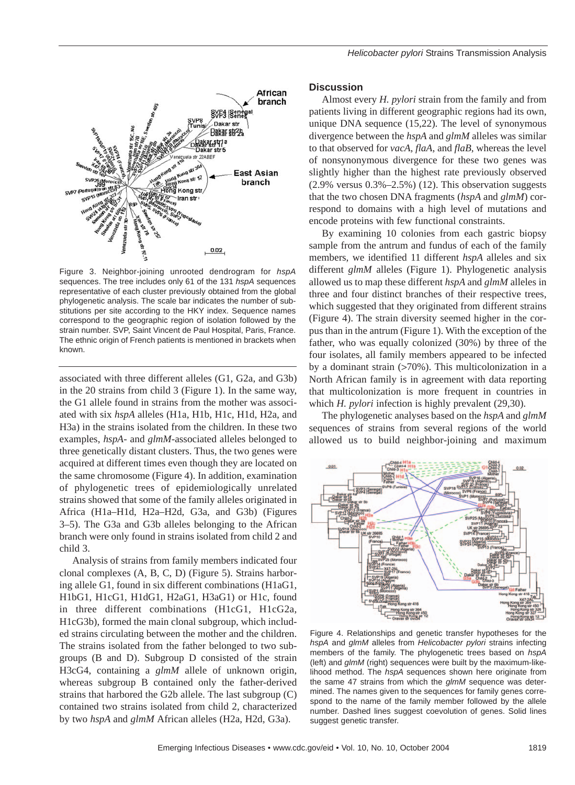

Figure 3. Neighbor-joining unrooted dendrogram for *hspA* sequences. The tree includes only 61 of the 131 *hspA* sequences representative of each cluster previously obtained from the global phylogenetic analysis. The scale bar indicates the number of substitutions per site according to the HKY index. Sequence names correspond to the geographic region of isolation followed by the strain number. SVP, Saint Vincent de Paul Hospital, Paris, France. The ethnic origin of French patients is mentioned in brackets when known.

associated with three different alleles (G1, G2a, and G3b) in the 20 strains from child 3 (Figure 1). In the same way, the G1 allele found in strains from the mother was associated with six *hspA* alleles (H1a, H1b, H1c, H1d, H2a, and H3a) in the strains isolated from the children. In these two examples, *hspA-* and *glmM-*associated alleles belonged to three genetically distant clusters. Thus, the two genes were acquired at different times even though they are located on the same chromosome (Figure 4). In addition, examination of phylogenetic trees of epidemiologically unrelated strains showed that some of the family alleles originated in Africa (H1a–H1d, H2a–H2d, G3a, and G3b) (Figures 3–5). The G3a and G3b alleles belonging to the African branch were only found in strains isolated from child 2 and child 3.

Analysis of strains from family members indicated four clonal complexes (A, B, C, D) (Figure 5). Strains harboring allele G1, found in six different combinations (H1aG1, H1bG1, H1cG1, H1dG1, H2aG1, H3aG1) or H1c, found in three different combinations (H1cG1, H1cG2a, H1cG3b), formed the main clonal subgroup, which included strains circulating between the mother and the children. The strains isolated from the father belonged to two subgroups (B and D). Subgroup D consisted of the strain H3cG4, containing a *glmM* allele of unknown origin, whereas subgroup B contained only the father-derived strains that harbored the G2b allele. The last subgroup (C) contained two strains isolated from child 2, characterized by two *hspA* and *glmM* African alleles (H2a, H2d, G3a).

# **Discussion**

Almost every *H. pylori* strain from the family and from patients living in different geographic regions had its own, unique DNA sequence (15,22). The level of synonymous divergence between the *hspA* and *glmM* alleles was similar to that observed for *vacA*, *flaA*, and *flaB*, whereas the level of nonsynonymous divergence for these two genes was slightly higher than the highest rate previously observed  $(2.9\%$  versus  $0.3\% - 2.5\%)$  (12). This observation suggests that the two chosen DNA fragments (*hspA* and *glmM*) correspond to domains with a high level of mutations and encode proteins with few functional constraints.

By examining 10 colonies from each gastric biopsy sample from the antrum and fundus of each of the family members, we identified 11 different *hspA* alleles and six different *glmM* alleles (Figure 1). Phylogenetic analysis allowed us to map these different *hspA* and *glmM* alleles in three and four distinct branches of their respective trees, which suggested that they originated from different strains (Figure 4). The strain diversity seemed higher in the corpus than in the antrum (Figure 1). With the exception of the father, who was equally colonized (30%) by three of the four isolates, all family members appeared to be infected by a dominant strain (>70%). This multicolonization in a North African family is in agreement with data reporting that multicolonization is more frequent in countries in which *H. pylori* infection is highly prevalent (29,30).

The phylogenetic analyses based on the *hspA* and *glmM* sequences of strains from several regions of the world allowed us to build neighbor-joining and maximum



Figure 4. Relationships and genetic transfer hypotheses for the *hspA* and *glmM* alleles from *Helicobacter pylori* strains infecting members of the family. The phylogenetic trees based on *hspA* (left) and *glmM* (right) sequences were built by the maximum-likelihood method. The *hspA* sequences shown here originate from the same 47 strains from which the *glmM* sequence was determined. The names given to the sequences for family genes correspond to the name of the family member followed by the allele number. Dashed lines suggest coevolution of genes. Solid lines suggest genetic transfer.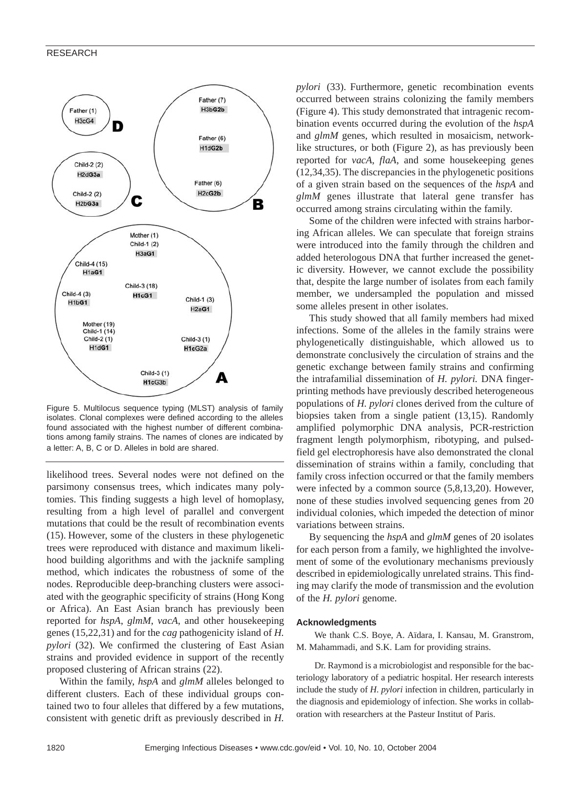

Figure 5. Multilocus sequence typing (MLST) analysis of family isolates. Clonal complexes were defined according to the alleles found associated with the highest number of different combinations among family strains. The names of clones are indicated by a letter: A, B, C or D. Alleles in bold are shared.

likelihood trees. Several nodes were not defined on the parsimony consensus trees, which indicates many polytomies. This finding suggests a high level of homoplasy, resulting from a high level of parallel and convergent mutations that could be the result of recombination events (15). However, some of the clusters in these phylogenetic trees were reproduced with distance and maximum likelihood building algorithms and with the jacknife sampling method, which indicates the robustness of some of the nodes. Reproducible deep-branching clusters were associated with the geographic specificity of strains (Hong Kong or Africa). An East Asian branch has previously been reported for *hspA*, *glmM*, *vacA*, and other housekeeping genes (15,22,31) and for the *cag* pathogenicity island of *H. pylori* (32). We confirmed the clustering of East Asian strains and provided evidence in support of the recently proposed clustering of African strains (22).

Within the family, *hspA* and *glmM* alleles belonged to different clusters. Each of these individual groups contained two to four alleles that differed by a few mutations, consistent with genetic drift as previously described in *H.*

*pylori* (33). Furthermore, genetic recombination events occurred between strains colonizing the family members (Figure 4). This study demonstrated that intragenic recombination events occurred during the evolution of the *hspA* and *glmM* genes, which resulted in mosaicism, networklike structures, or both (Figure 2), as has previously been reported for *vacA*, *flaA*, and some housekeeping genes (12,34,35). The discrepancies in the phylogenetic positions of a given strain based on the sequences of the *hspA* and *glmM* genes illustrate that lateral gene transfer has occurred among strains circulating within the family.

Some of the children were infected with strains harboring African alleles. We can speculate that foreign strains were introduced into the family through the children and added heterologous DNA that further increased the genetic diversity. However, we cannot exclude the possibility that, despite the large number of isolates from each family member, we undersampled the population and missed some alleles present in other isolates.

This study showed that all family members had mixed infections. Some of the alleles in the family strains were phylogenetically distinguishable, which allowed us to demonstrate conclusively the circulation of strains and the genetic exchange between family strains and confirming the intrafamilial dissemination of *H. pylori.* DNA fingerprinting methods have previously described heterogeneous populations of *H. pylori* clones derived from the culture of biopsies taken from a single patient (13,15). Randomly amplified polymorphic DNA analysis, PCR-restriction fragment length polymorphism, ribotyping, and pulsedfield gel electrophoresis have also demonstrated the clonal dissemination of strains within a family, concluding that family cross infection occurred or that the family members were infected by a common source (5,8,13,20). However, none of these studies involved sequencing genes from 20 individual colonies, which impeded the detection of minor variations between strains.

By sequencing the *hspA* and *glmM* genes of 20 isolates for each person from a family, we highlighted the involvement of some of the evolutionary mechanisms previously described in epidemiologically unrelated strains. This finding may clarify the mode of transmission and the evolution of the *H. pylori* genome.

### **Acknowledgments**

We thank C.S. Boye, A. Aïdara, I. Kansau, M. Granstrom, M. Mahammadi, and S.K. Lam for providing strains.

Dr. Raymond is a microbiologist and responsible for the bacteriology laboratory of a pediatric hospital. Her research interests include the study of *H. pylori* infection in children, particularly in the diagnosis and epidemiology of infection. She works in collaboration with researchers at the Pasteur Institut of Paris.